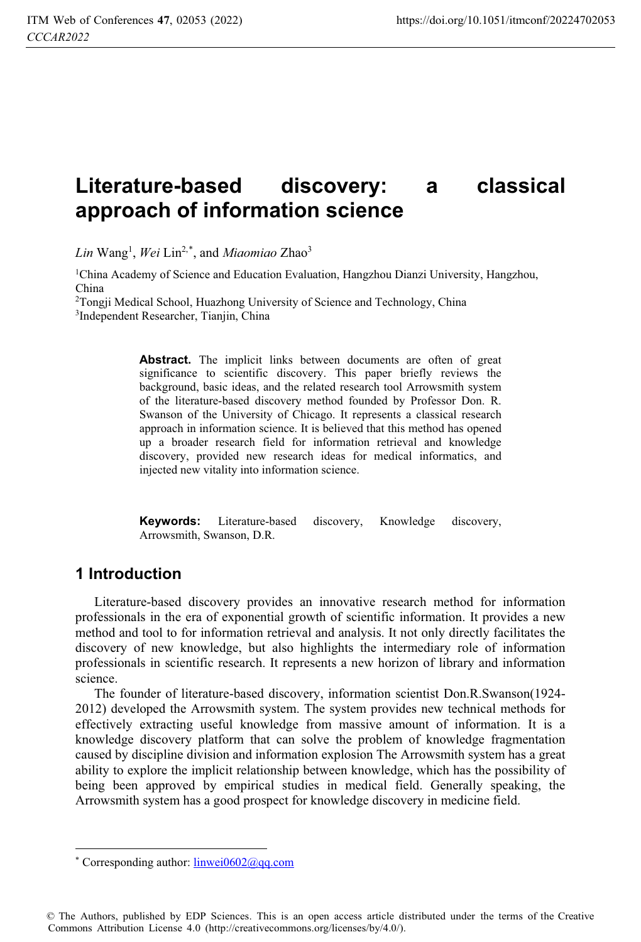# **Literature-based discovery: a classical approach of information science**

*Lin* Wang1 , *Wei* Lin2,\*, and *Miaomiao* Zhao3

1China Academy of Science and Education Evaluation, Hangzhou Dianzi University, Hangzhou, China

<sup>2</sup>Tongji Medical School, Huazhong University of Science and Technology, China <sup>3</sup>Independent Researcher, Tianjin, China

Abstract. The implicit links between documents are often of great significance to scientific discovery. This paper briefly reviews the background, basic ideas, and the related research tool Arrowsmith system of the literature-based discovery method founded by Professor Don. R. Swanson of the University of Chicago. It represents a classical research approach in information science. It is believed that this method has opened up a broader research field for information retrieval and knowledge discovery, provided new research ideas for medical informatics, and injected new vitality into information science.

**Keywords:** Literature-based discovery, Knowledge discovery, Arrowsmith, Swanson, D.R.

## **1 Introduction**

 $\overline{a}$ 

Literature-based discovery provides an innovative research method for information professionals in the era of exponential growth of scientific information. It provides a new method and tool to for information retrieval and analysis. It not only directly facilitates the discovery of new knowledge, but also highlights the intermediary role of information professionals in scientific research. It represents a new horizon of library and information science.

The founder of literature-based discovery, information scientist Don.R.Swanson(1924- 2012) developed the Arrowsmith system. The system provides new technical methods for effectively extracting useful knowledge from massive amount of information. It is a knowledge discovery platform that can solve the problem of knowledge fragmentation caused by discipline division and information explosion The Arrowsmith system has a great ability to explore the implicit relationship between knowledge, which has the possibility of being been approved by empirical studies in medical field. Generally speaking, the Arrowsmith system has a good prospect for knowledge discovery in medicine field.

© The Authors, published by EDP Sciences. This is an open access article distributed under the terms of the Creative Commons Attribution License 4.0 (http://creativecommons.org/licenses/by/4.0/).

<sup>\*</sup> Corresponding author:  $limwei0602@qq.com$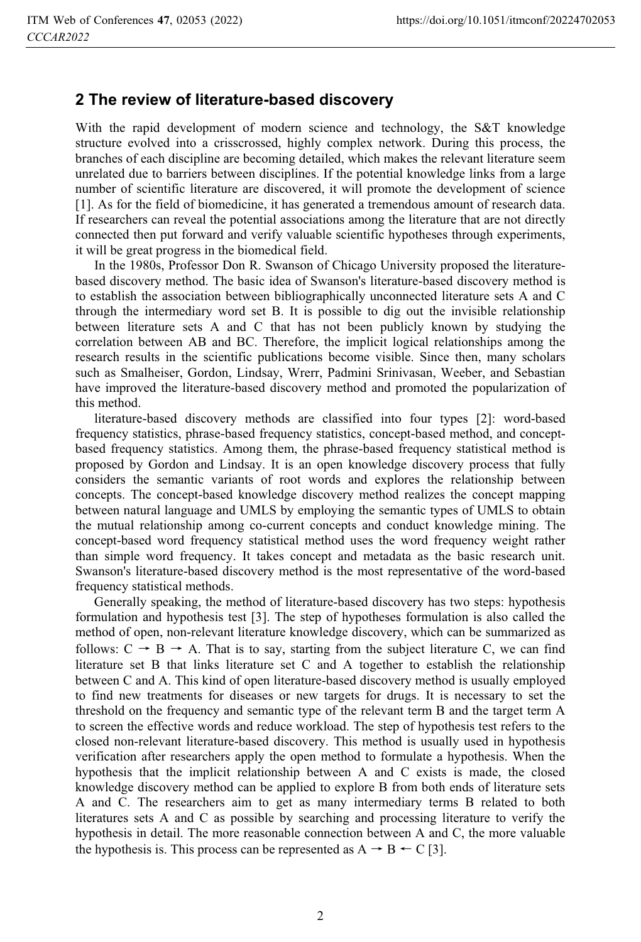#### **2 The review of literature-based discovery**

With the rapid development of modern science and technology, the S&T knowledge structure evolved into a crisscrossed, highly complex network. During this process, the branches of each discipline are becoming detailed, which makes the relevant literature seem unrelated due to barriers between disciplines. If the potential knowledge links from a large number of scientific literature are discovered, it will promote the development of science [1]. As for the field of biomedicine, it has generated a tremendous amount of research data. If researchers can reveal the potential associations among the literature that are not directly connected then put forward and verify valuable scientific hypotheses through experiments, it will be great progress in the biomedical field.

In the 1980s, Professor Don R. Swanson of Chicago University proposed the literaturebased discovery method. The basic idea of Swanson's literature-based discovery method is to establish the association between bibliographically unconnected literature sets A and C through the intermediary word set B. It is possible to dig out the invisible relationship between literature sets A and C that has not been publicly known by studying the correlation between AB and BC. Therefore, the implicit logical relationships among the research results in the scientific publications become visible. Since then, many scholars such as Smalheiser, Gordon, Lindsay, Wrerr, Padmini Srinivasan, Weeber, and Sebastian have improved the literature-based discovery method and promoted the popularization of this method.

literature-based discovery methods are classified into four types [2]: word-based frequency statistics, phrase-based frequency statistics, concept-based method, and conceptbased frequency statistics. Among them, the phrase-based frequency statistical method is proposed by Gordon and Lindsay. It is an open knowledge discovery process that fully considers the semantic variants of root words and explores the relationship between concepts. The concept-based knowledge discovery method realizes the concept mapping between natural language and UMLS by employing the semantic types of UMLS to obtain the mutual relationship among co-current concepts and conduct knowledge mining. The concept-based word frequency statistical method uses the word frequency weight rather than simple word frequency. It takes concept and metadata as the basic research unit. Swanson's literature-based discovery method is the most representative of the word-based frequency statistical methods.

Generally speaking, the method of literature-based discovery has two steps: hypothesis formulation and hypothesis test [3]. The step of hypotheses formulation is also called the method of open, non-relevant literature knowledge discovery, which can be summarized as follows:  $C \rightarrow B \rightarrow A$ . That is to say, starting from the subject literature C, we can find literature set B that links literature set C and A together to establish the relationship between C and A. This kind of open literature-based discovery method is usually employed to find new treatments for diseases or new targets for drugs. It is necessary to set the threshold on the frequency and semantic type of the relevant term B and the target term A to screen the effective words and reduce workload. The step of hypothesis test refers to the closed non-relevant literature-based discovery. This method is usually used in hypothesis verification after researchers apply the open method to formulate a hypothesis. When the hypothesis that the implicit relationship between A and C exists is made, the closed knowledge discovery method can be applied to explore B from both ends of literature sets A and C. The researchers aim to get as many intermediary terms B related to both literatures sets A and C as possible by searching and processing literature to verify the hypothesis in detail. The more reasonable connection between A and C, the more valuable the hypothesis is. This process can be represented as  $A \rightarrow B \leftarrow C$  [3].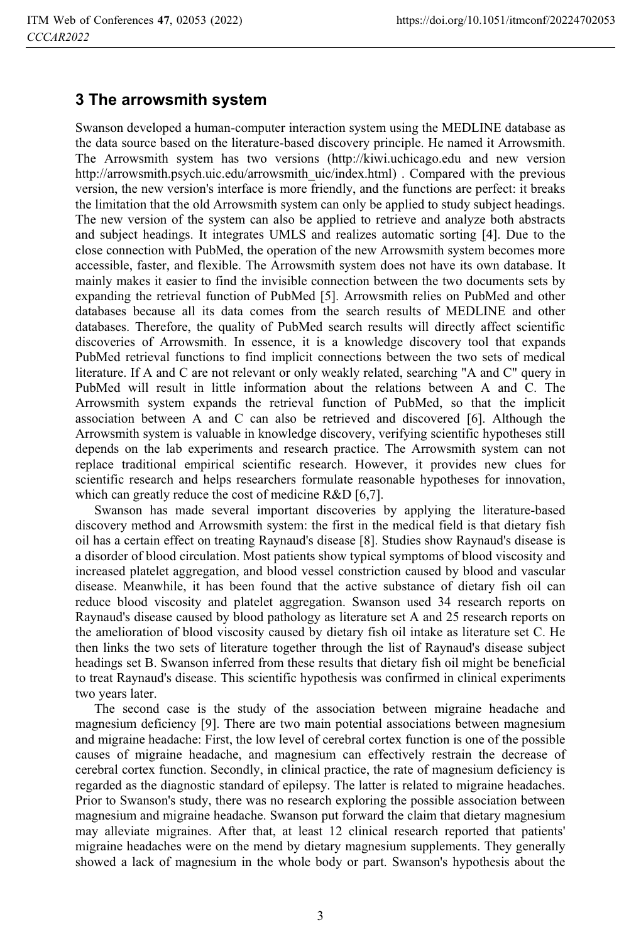#### **3 The arrowsmith system**

Swanson developed a human-computer interaction system using the MEDLINE database as the data source based on the literature-based discovery principle. He named it Arrowsmith. The Arrowsmith system has two versions (http://kiwi.uchicago.edu and new version http://arrowsmith.psych.uic.edu/arrowsmith\_uic/index.html). Compared with the previous version, the new version's interface is more friendly, and the functions are perfect: it breaks the limitation that the old Arrowsmith system can only be applied to study subject headings. The new version of the system can also be applied to retrieve and analyze both abstracts and subject headings. It integrates UMLS and realizes automatic sorting [4]. Due to the close connection with PubMed, the operation of the new Arrowsmith system becomes more accessible, faster, and flexible. The Arrowsmith system does not have its own database. It mainly makes it easier to find the invisible connection between the two documents sets by expanding the retrieval function of PubMed [5]. Arrowsmith relies on PubMed and other databases because all its data comes from the search results of MEDLINE and other databases. Therefore, the quality of PubMed search results will directly affect scientific discoveries of Arrowsmith. In essence, it is a knowledge discovery tool that expands PubMed retrieval functions to find implicit connections between the two sets of medical literature. If A and C are not relevant or only weakly related, searching "A and C" query in PubMed will result in little information about the relations between A and C. The Arrowsmith system expands the retrieval function of PubMed, so that the implicit association between A and C can also be retrieved and discovered [6]. Although the Arrowsmith system is valuable in knowledge discovery, verifying scientific hypotheses still depends on the lab experiments and research practice. The Arrowsmith system can not replace traditional empirical scientific research. However, it provides new clues for scientific research and helps researchers formulate reasonable hypotheses for innovation, which can greatly reduce the cost of medicine R&D [6,7].

Swanson has made several important discoveries by applying the literature-based discovery method and Arrowsmith system: the first in the medical field is that dietary fish oil has a certain effect on treating Raynaud's disease [8]. Studies show Raynaud's disease is a disorder of blood circulation. Most patients show typical symptoms of blood viscosity and increased platelet aggregation, and blood vessel constriction caused by blood and vascular disease. Meanwhile, it has been found that the active substance of dietary fish oil can reduce blood viscosity and platelet aggregation. Swanson used 34 research reports on Raynaud's disease caused by blood pathology as literature set A and 25 research reports on the amelioration of blood viscosity caused by dietary fish oil intake as literature set C. He then links the two sets of literature together through the list of Raynaud's disease subject headings set B. Swanson inferred from these results that dietary fish oil might be beneficial to treat Raynaud's disease. This scientific hypothesis was confirmed in clinical experiments two years later.

The second case is the study of the association between migraine headache and magnesium deficiency [9]. There are two main potential associations between magnesium and migraine headache: First, the low level of cerebral cortex function is one of the possible causes of migraine headache, and magnesium can effectively restrain the decrease of cerebral cortex function. Secondly, in clinical practice, the rate of magnesium deficiency is regarded as the diagnostic standard of epilepsy. The latter is related to migraine headaches. Prior to Swanson's study, there was no research exploring the possible association between magnesium and migraine headache. Swanson put forward the claim that dietary magnesium may alleviate migraines. After that, at least 12 clinical research reported that patients' migraine headaches were on the mend by dietary magnesium supplements. They generally showed a lack of magnesium in the whole body or part. Swanson's hypothesis about the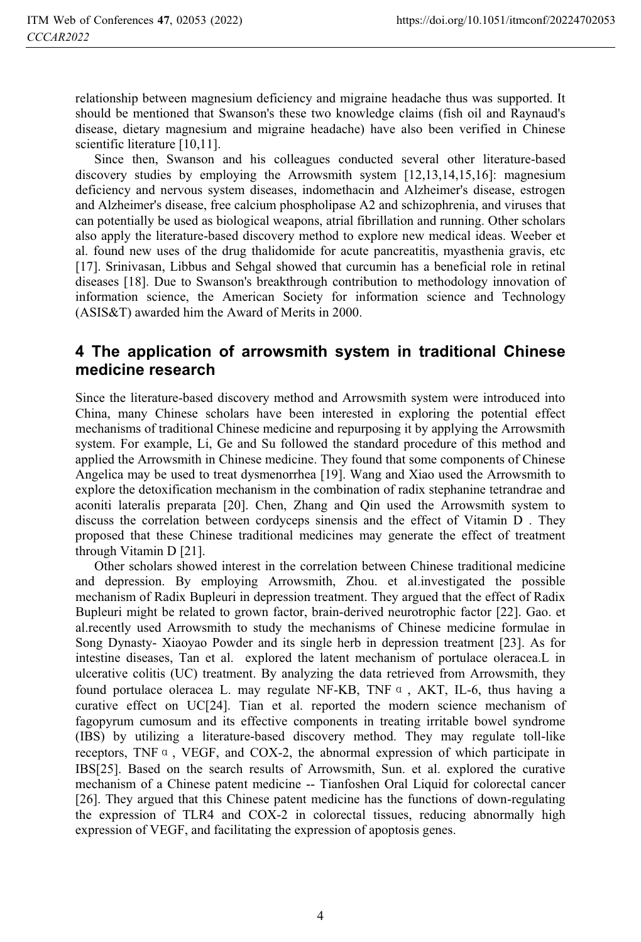relationship between magnesium deficiency and migraine headache thus was supported. It should be mentioned that Swanson's these two knowledge claims (fish oil and Raynaud's disease, dietary magnesium and migraine headache) have also been verified in Chinese scientific literature [10,11].

Since then, Swanson and his colleagues conducted several other literature-based discovery studies by employing the Arrowsmith system [12,13,14,15,16]: magnesium deficiency and nervous system diseases, indomethacin and Alzheimer's disease, estrogen and Alzheimer's disease, free calcium phospholipase A2 and schizophrenia, and viruses that can potentially be used as biological weapons, atrial fibrillation and running. Other scholars also apply the literature-based discovery method to explore new medical ideas. Weeber et al. found new uses of the drug thalidomide for acute pancreatitis, myasthenia gravis, etc [17]. Srinivasan, Libbus and Sehgal showed that curcumin has a beneficial role in retinal diseases [18]. Due to Swanson's breakthrough contribution to methodology innovation of information science, the American Society for information science and Technology (ASIS&T) awarded him the Award of Merits in 2000.

## **4 The application of arrowsmith system in traditional Chinese medicine research**

Since the literature-based discovery method and Arrowsmith system were introduced into China, many Chinese scholars have been interested in exploring the potential effect mechanisms of traditional Chinese medicine and repurposing it by applying the Arrowsmith system. For example, Li, Ge and Su followed the standard procedure of this method and applied the Arrowsmith in Chinese medicine. They found that some components of Chinese Angelica may be used to treat dysmenorrhea [19]. Wang and Xiao used the Arrowsmith to explore the detoxification mechanism in the combination of radix stephanine tetrandrae and aconiti lateralis preparata [20]. Chen, Zhang and Qin used the Arrowsmith system to discuss the correlation between cordyceps sinensis and the effect of Vitamin D . They proposed that these Chinese traditional medicines may generate the effect of treatment through Vitamin D [21].

Other scholars showed interest in the correlation between Chinese traditional medicine and depression. By employing Arrowsmith, Zhou. et al.investigated the possible mechanism of Radix Bupleuri in depression treatment. They argued that the effect of Radix Bupleuri might be related to grown factor, brain-derived neurotrophic factor [22]. Gao. et al.recently used Arrowsmith to study the mechanisms of Chinese medicine formulae in Song Dynasty- Xiaoyao Powder and its single herb in depression treatment [23]. As for intestine diseases, Tan et al. explored the latent mechanism of portulace oleracea.L in ulcerative colitis (UC) treatment. By analyzing the data retrieved from Arrowsmith, they found portulace oleracea L. may regulate NF-KB, TNF  $\alpha$ , AKT, IL-6, thus having a curative effect on UC[24]. Tian et al. reported the modern science mechanism of fagopyrum cumosum and its effective components in treating irritable bowel syndrome (IBS) by utilizing a literature-based discovery method. They may regulate toll-like receptors, TNF $\alpha$ , VEGF, and COX-2, the abnormal expression of which participate in IBS[25]. Based on the search results of Arrowsmith, Sun. et al. explored the curative mechanism of a Chinese patent medicine -- Tianfoshen Oral Liquid for colorectal cancer [26]. They argued that this Chinese patent medicine has the functions of down-regulating the expression of TLR4 and COX-2 in colorectal tissues, reducing abnormally high expression of VEGF, and facilitating the expression of apoptosis genes.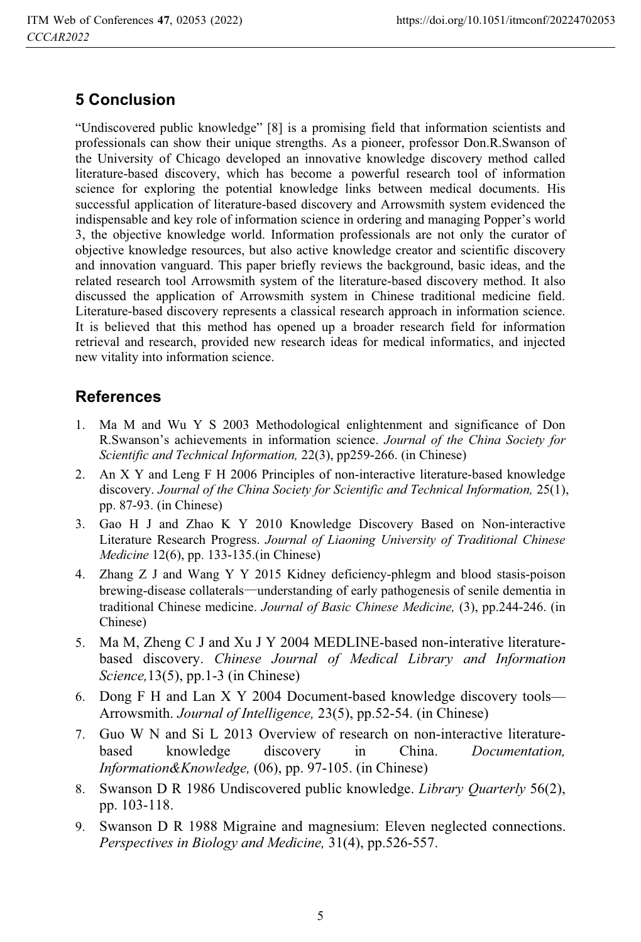# **5 Conclusion**

"Undiscovered public knowledge" [8] is a promising field that information scientists and professionals can show their unique strengths. As a pioneer, professor Don.R.Swanson of the University of Chicago developed an innovative knowledge discovery method called literature-based discovery, which has become a powerful research tool of information science for exploring the potential knowledge links between medical documents. His successful application of literature-based discovery and Arrowsmith system evidenced the indispensable and key role of information science in ordering and managing Popper's world 3, the objective knowledge world. Information professionals are not only the curator of objective knowledge resources, but also active knowledge creator and scientific discovery and innovation vanguard. This paper briefly reviews the background, basic ideas, and the related research tool Arrowsmith system of the literature-based discovery method. It also discussed the application of Arrowsmith system in Chinese traditional medicine field. Literature-based discovery represents a classical research approach in information science. It is believed that this method has opened up a broader research field for information retrieval and research, provided new research ideas for medical informatics, and injected new vitality into information science.

# **References**

- 1. Ma M and Wu Y S 2003 Methodological enlightenment and significance of Don R.Swanson's achievements in information science. *Journal of the China Society for Scientific and Technical Information,* 22(3), pp259-266. (in Chinese)
- 2. An X Y and Leng F H 2006 Principles of non-interactive literature-based knowledge discovery. *Journal of the China Society for Scientific and Technical Information,* 25(1), pp. 87-93. (in Chinese)
- 3. Gao H J and Zhao K Y 2010 Knowledge Discovery Based on Non-interactive Literature Research Progress. *Journal of Liaoning University of Traditional Chinese Medicine* 12(6), pp. 133-135.(in Chinese)
- 4. Zhang Z J and Wang Y Y 2015 Kidney deficiency-phlegm and blood stasis-poison brewing-disease collaterals—understanding of early pathogenesis of senile dementia in traditional Chinese medicine. *Journal of Basic Chinese Medicine,* (3), pp.244-246. (in Chinese)
- 5. Ma M, Zheng C J and Xu J Y 2004 MEDLINE-based non-interative literaturebased discovery. *Chinese Journal of Medical Library and Information Science,*13(5), pp.1-3 (in Chinese)
- 6. Dong F H and Lan X Y 2004 Document-based knowledge discovery tools— Arrowsmith. *Journal of Intelligence,* 23(5), pp.52-54. (in Chinese)
- 7. Guo W N and Si L 2013 Overview of research on non-interactive literaturebased knowledge discovery in China. *Documentation, Information&Knowledge,* (06), pp. 97-105. (in Chinese)
- 8. Swanson D R 1986 Undiscovered public knowledge. *Library Quarterly* 56(2), pp. 103-118.
- 9. Swanson D R 1988 Migraine and magnesium: Eleven neglected connections. *Perspectives in Biology and Medicine,* 31(4), pp.526-557.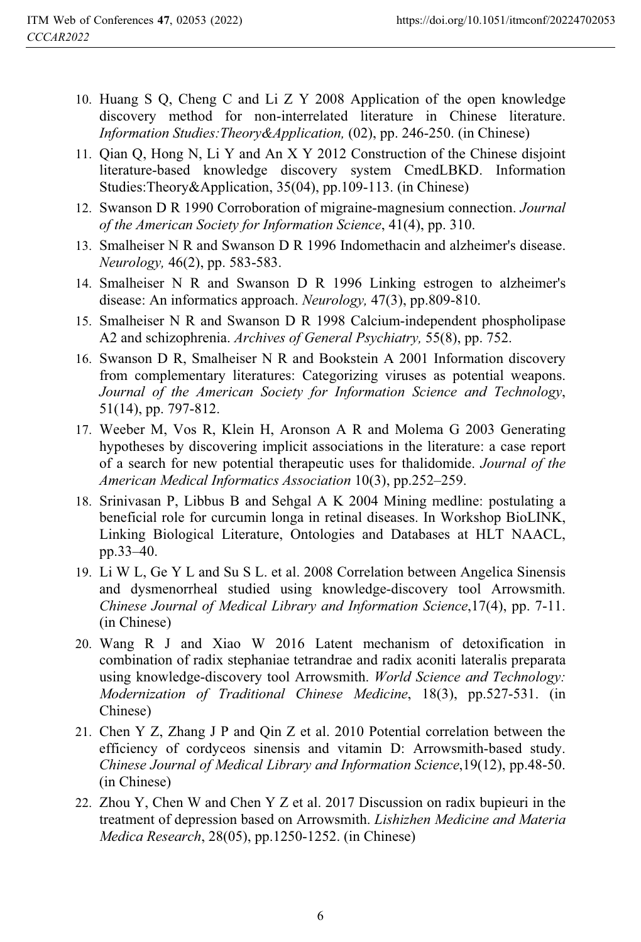- 10. Huang S Q, Cheng C and Li Z Y 2008 Application of the open knowledge discovery method for non-interrelated literature in Chinese literature. *Information Studies:Theory&Application,* (02), pp. 246-250. (in Chinese)
- 11. Qian Q, Hong N, Li Y and An X Y 2012 Construction of the Chinese disjoint literature-based knowledge discovery system CmedLBKD. Information Studies:Theory&Application, 35(04), pp.109-113. (in Chinese)
- 12. Swanson D R 1990 Corroboration of migraine-magnesium connection. *Journal of the American Society for Information Science*, 41(4), pp. 310.
- 13. Smalheiser N R and Swanson D R 1996 Indomethacin and alzheimer's disease. *Neurology,* 46(2), pp. 583-583.
- 14. Smalheiser N R and Swanson D R 1996 Linking estrogen to alzheimer's disease: An informatics approach. *Neurology,* 47(3), pp.809-810.
- 15. Smalheiser N R and Swanson D R 1998 Calcium-independent phospholipase A2 and schizophrenia. *Archives of General Psychiatry,* 55(8), pp. 752.
- 16. Swanson D R, Smalheiser N R and Bookstein A 2001 Information discovery from complementary literatures: Categorizing viruses as potential weapons. *Journal of the American Society for Information Science and Technology*, 51(14), pp. 797-812.
- 17. Weeber M, Vos R, Klein H, Aronson A R and Molema G 2003 Generating hypotheses by discovering implicit associations in the literature: a case report of a search for new potential therapeutic uses for thalidomide. *Journal of the American Medical Informatics Association* 10(3), pp.252–259.
- 18. Srinivasan P, Libbus B and Sehgal A K 2004 Mining medline: postulating a beneficial role for curcumin longa in retinal diseases. In Workshop BioLINK, Linking Biological Literature, Ontologies and Databases at HLT NAACL, pp.33–40.
- 19. Li W L, Ge Y L and Su S L. et al. 2008 Correlation between Angelica Sinensis and dysmenorrheal studied using knowledge-discovery tool Arrowsmith. *Chinese Journal of Medical Library and Information Science*,17(4), pp. 7-11. (in Chinese)
- 20. Wang R J and Xiao W 2016 Latent mechanism of detoxification in combination of radix stephaniae tetrandrae and radix aconiti lateralis preparata using knowledge-discovery tool Arrowsmith. *World Science and Technology: Modernization of Traditional Chinese Medicine*, 18(3), pp.527-531. (in Chinese)
- 21. Chen Y Z, Zhang J P and Qin Z et al. 2010 Potential correlation between the efficiency of cordyceos sinensis and vitamin D: Arrowsmith-based study. *Chinese Journal of Medical Library and Information Science*,19(12), pp.48-50. (in Chinese)
- 22. Zhou Y, Chen W and Chen Y Z et al. 2017 Discussion on radix bupieuri in the treatment of depression based on Arrowsmith. *Lishizhen Medicine and Materia Medica Research*, 28(05), pp.1250-1252. (in Chinese)